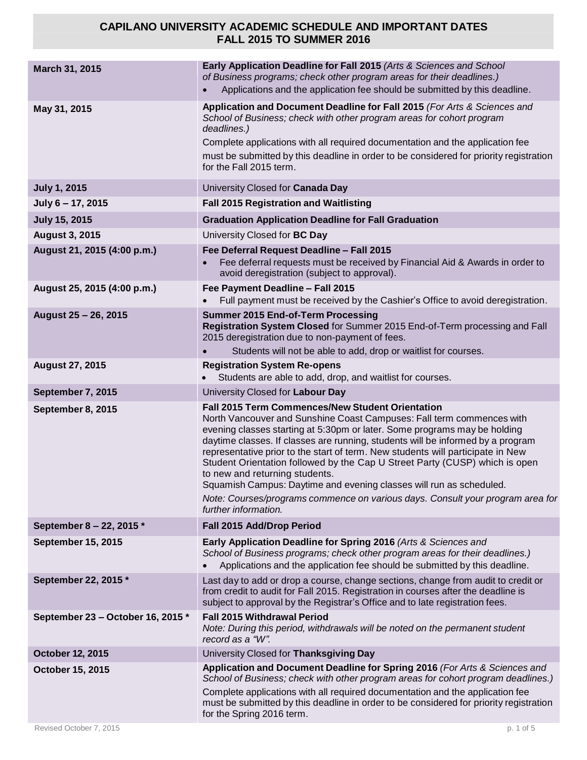| March 31, 2015                    | Early Application Deadline for Fall 2015 (Arts & Sciences and School<br>of Business programs; check other program areas for their deadlines.)<br>Applications and the application fee should be submitted by this deadline.                                                                                                                                                                                                                                                                                                                                                                                                                                                    |
|-----------------------------------|--------------------------------------------------------------------------------------------------------------------------------------------------------------------------------------------------------------------------------------------------------------------------------------------------------------------------------------------------------------------------------------------------------------------------------------------------------------------------------------------------------------------------------------------------------------------------------------------------------------------------------------------------------------------------------|
| May 31, 2015                      | Application and Document Deadline for Fall 2015 (For Arts & Sciences and<br>School of Business; check with other program areas for cohort program<br>deadlines.)<br>Complete applications with all required documentation and the application fee<br>must be submitted by this deadline in order to be considered for priority registration<br>for the Fall 2015 term.                                                                                                                                                                                                                                                                                                         |
| <b>July 1, 2015</b>               | University Closed for Canada Day                                                                                                                                                                                                                                                                                                                                                                                                                                                                                                                                                                                                                                               |
| July 6 - 17, 2015                 | <b>Fall 2015 Registration and Waitlisting</b>                                                                                                                                                                                                                                                                                                                                                                                                                                                                                                                                                                                                                                  |
| <b>July 15, 2015</b>              | <b>Graduation Application Deadline for Fall Graduation</b>                                                                                                                                                                                                                                                                                                                                                                                                                                                                                                                                                                                                                     |
| <b>August 3, 2015</b>             | University Closed for BC Day                                                                                                                                                                                                                                                                                                                                                                                                                                                                                                                                                                                                                                                   |
| August 21, 2015 (4:00 p.m.)       | Fee Deferral Request Deadline - Fall 2015<br>Fee deferral requests must be received by Financial Aid & Awards in order to<br>avoid deregistration (subject to approval).                                                                                                                                                                                                                                                                                                                                                                                                                                                                                                       |
| August 25, 2015 (4:00 p.m.)       | Fee Payment Deadline - Fall 2015<br>Full payment must be received by the Cashier's Office to avoid deregistration.                                                                                                                                                                                                                                                                                                                                                                                                                                                                                                                                                             |
| August 25 - 26, 2015              | <b>Summer 2015 End-of-Term Processing</b><br>Registration System Closed for Summer 2015 End-of-Term processing and Fall<br>2015 deregistration due to non-payment of fees.<br>Students will not be able to add, drop or waitlist for courses.                                                                                                                                                                                                                                                                                                                                                                                                                                  |
| <b>August 27, 2015</b>            | <b>Registration System Re-opens</b><br>Students are able to add, drop, and waitlist for courses.                                                                                                                                                                                                                                                                                                                                                                                                                                                                                                                                                                               |
| September 7, 2015                 | University Closed for Labour Day                                                                                                                                                                                                                                                                                                                                                                                                                                                                                                                                                                                                                                               |
| September 8, 2015                 | Fall 2015 Term Commences/New Student Orientation<br>North Vancouver and Sunshine Coast Campuses: Fall term commences with<br>evening classes starting at 5:30pm or later. Some programs may be holding<br>daytime classes. If classes are running, students will be informed by a program<br>representative prior to the start of term. New students will participate in New<br>Student Orientation followed by the Cap U Street Party (CUSP) which is open<br>to new and returning students.<br>Squamish Campus: Daytime and evening classes will run as scheduled.<br>Note: Courses/programs commence on various days. Consult your program area for<br>further information. |
| September 8 - 22, 2015 *          | Fall 2015 Add/Drop Period                                                                                                                                                                                                                                                                                                                                                                                                                                                                                                                                                                                                                                                      |
| <b>September 15, 2015</b>         | Early Application Deadline for Spring 2016 (Arts & Sciences and<br>School of Business programs; check other program areas for their deadlines.)<br>Applications and the application fee should be submitted by this deadline.                                                                                                                                                                                                                                                                                                                                                                                                                                                  |
| September 22, 2015 *              | Last day to add or drop a course, change sections, change from audit to credit or<br>from credit to audit for Fall 2015. Registration in courses after the deadline is<br>subject to approval by the Registrar's Office and to late registration fees.                                                                                                                                                                                                                                                                                                                                                                                                                         |
| September 23 - October 16, 2015 * | <b>Fall 2015 Withdrawal Period</b><br>Note: During this period, withdrawals will be noted on the permanent student<br>record as a "W".                                                                                                                                                                                                                                                                                                                                                                                                                                                                                                                                         |
| October 12, 2015                  | University Closed for Thanksgiving Day                                                                                                                                                                                                                                                                                                                                                                                                                                                                                                                                                                                                                                         |
| <b>October 15, 2015</b>           | Application and Document Deadline for Spring 2016 (For Arts & Sciences and<br>School of Business; check with other program areas for cohort program deadlines.)<br>Complete applications with all required documentation and the application fee<br>must be submitted by this deadline in order to be considered for priority registration<br>for the Spring 2016 term.                                                                                                                                                                                                                                                                                                        |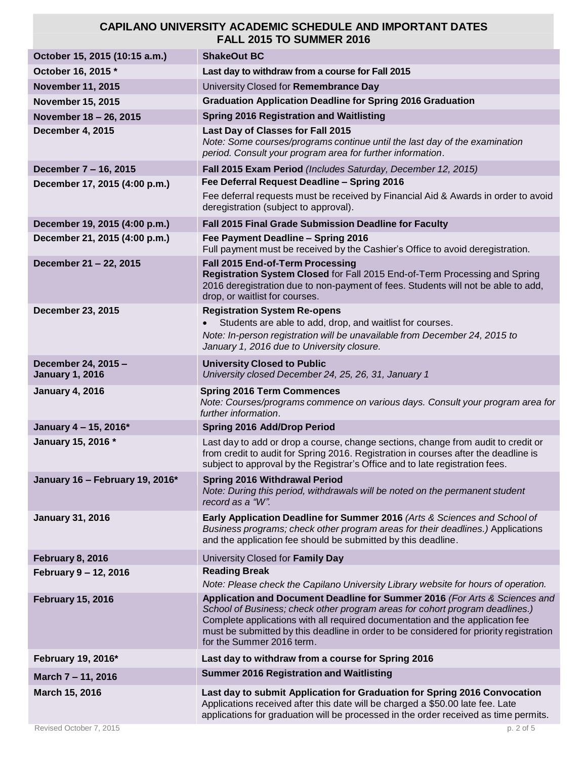| October 15, 2015 (10:15 a.m.)                 | <b>ShakeOut BC</b>                                                                                                                                                                                                                                                                                                                                                 |
|-----------------------------------------------|--------------------------------------------------------------------------------------------------------------------------------------------------------------------------------------------------------------------------------------------------------------------------------------------------------------------------------------------------------------------|
| October 16, 2015 *                            | Last day to withdraw from a course for Fall 2015                                                                                                                                                                                                                                                                                                                   |
| <b>November 11, 2015</b>                      | University Closed for Remembrance Day                                                                                                                                                                                                                                                                                                                              |
| <b>November 15, 2015</b>                      | <b>Graduation Application Deadline for Spring 2016 Graduation</b>                                                                                                                                                                                                                                                                                                  |
| November 18 - 26, 2015                        | <b>Spring 2016 Registration and Waitlisting</b>                                                                                                                                                                                                                                                                                                                    |
| December 4, 2015                              | Last Day of Classes for Fall 2015<br>Note: Some courses/programs continue until the last day of the examination<br>period. Consult your program area for further information.                                                                                                                                                                                      |
| December 7 - 16, 2015                         | Fall 2015 Exam Period (Includes Saturday, December 12, 2015)                                                                                                                                                                                                                                                                                                       |
| December 17, 2015 (4:00 p.m.)                 | Fee Deferral Request Deadline - Spring 2016                                                                                                                                                                                                                                                                                                                        |
|                                               | Fee deferral requests must be received by Financial Aid & Awards in order to avoid<br>deregistration (subject to approval).                                                                                                                                                                                                                                        |
| December 19, 2015 (4:00 p.m.)                 | Fall 2015 Final Grade Submission Deadline for Faculty                                                                                                                                                                                                                                                                                                              |
| December 21, 2015 (4:00 p.m.)                 | Fee Payment Deadline - Spring 2016<br>Full payment must be received by the Cashier's Office to avoid deregistration.                                                                                                                                                                                                                                               |
| December 21 - 22, 2015                        | Fall 2015 End-of-Term Processing<br>Registration System Closed for Fall 2015 End-of-Term Processing and Spring<br>2016 deregistration due to non-payment of fees. Students will not be able to add,<br>drop, or waitlist for courses.                                                                                                                              |
| <b>December 23, 2015</b>                      | <b>Registration System Re-opens</b>                                                                                                                                                                                                                                                                                                                                |
|                                               | Students are able to add, drop, and waitlist for courses.                                                                                                                                                                                                                                                                                                          |
|                                               | Note: In-person registration will be unavailable from December 24, 2015 to<br>January 1, 2016 due to University closure.                                                                                                                                                                                                                                           |
| December 24, 2015 -<br><b>January 1, 2016</b> | <b>University Closed to Public</b><br>University closed December 24, 25, 26, 31, January 1                                                                                                                                                                                                                                                                         |
| <b>January 4, 2016</b>                        | <b>Spring 2016 Term Commences</b><br>Note: Courses/programs commence on various days. Consult your program area for<br>further information.                                                                                                                                                                                                                        |
| January 4 - 15, 2016*                         | <b>Spring 2016 Add/Drop Period</b>                                                                                                                                                                                                                                                                                                                                 |
| January 15, 2016 *                            |                                                                                                                                                                                                                                                                                                                                                                    |
|                                               | Last day to add or drop a course, change sections, change from audit to credit or<br>from credit to audit for Spring 2016. Registration in courses after the deadline is<br>subject to approval by the Registrar's Office and to late registration fees.                                                                                                           |
| January 16 - February 19, 2016*               | <b>Spring 2016 Withdrawal Period</b><br>Note: During this period, withdrawals will be noted on the permanent student<br>record as a "W".                                                                                                                                                                                                                           |
| <b>January 31, 2016</b>                       | Early Application Deadline for Summer 2016 (Arts & Sciences and School of<br>Business programs; check other program areas for their deadlines.) Applications<br>and the application fee should be submitted by this deadline.                                                                                                                                      |
| <b>February 8, 2016</b>                       | University Closed for Family Day                                                                                                                                                                                                                                                                                                                                   |
| February 9 - 12, 2016                         | <b>Reading Break</b><br>Note: Please check the Capilano University Library website for hours of operation.                                                                                                                                                                                                                                                         |
| <b>February 15, 2016</b>                      | Application and Document Deadline for Summer 2016 (For Arts & Sciences and<br>School of Business; check other program areas for cohort program deadlines.)<br>Complete applications with all required documentation and the application fee<br>must be submitted by this deadline in order to be considered for priority registration<br>for the Summer 2016 term. |
| February 19, 2016*                            | Last day to withdraw from a course for Spring 2016                                                                                                                                                                                                                                                                                                                 |
| March 7 - 11, 2016                            | <b>Summer 2016 Registration and Waitlisting</b>                                                                                                                                                                                                                                                                                                                    |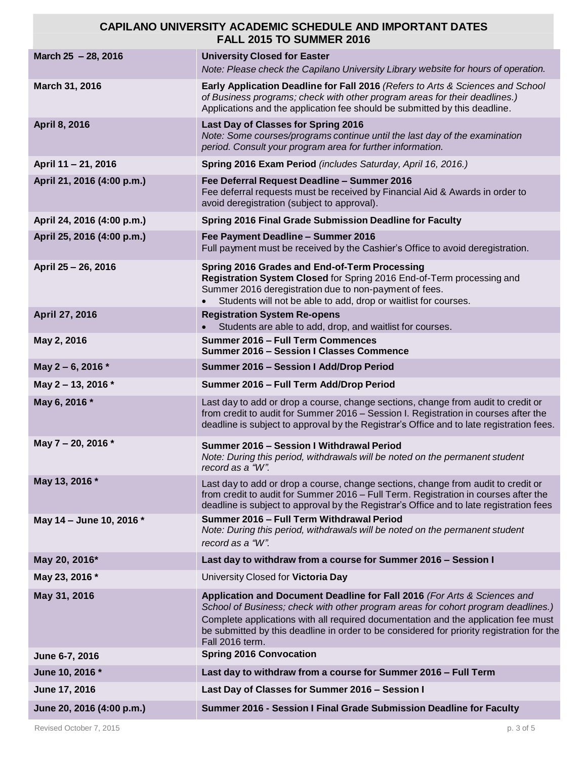| March 25 - 28, 2016        | <b>University Closed for Easter</b><br>Note: Please check the Capilano University Library website for hours of operation.                                                                                                                                                                                                                                           |
|----------------------------|---------------------------------------------------------------------------------------------------------------------------------------------------------------------------------------------------------------------------------------------------------------------------------------------------------------------------------------------------------------------|
| March 31, 2016             | Early Application Deadline for Fall 2016 (Refers to Arts & Sciences and School<br>of Business programs; check with other program areas for their deadlines.)<br>Applications and the application fee should be submitted by this deadline.                                                                                                                          |
| April 8, 2016              | Last Day of Classes for Spring 2016<br>Note: Some courses/programs continue until the last day of the examination<br>period. Consult your program area for further information.                                                                                                                                                                                     |
| April 11 - 21, 2016        | Spring 2016 Exam Period (includes Saturday, April 16, 2016.)                                                                                                                                                                                                                                                                                                        |
| April 21, 2016 (4:00 p.m.) | Fee Deferral Request Deadline - Summer 2016<br>Fee deferral requests must be received by Financial Aid & Awards in order to<br>avoid deregistration (subject to approval).                                                                                                                                                                                          |
| April 24, 2016 (4:00 p.m.) | <b>Spring 2016 Final Grade Submission Deadline for Faculty</b>                                                                                                                                                                                                                                                                                                      |
| April 25, 2016 (4:00 p.m.) | Fee Payment Deadline - Summer 2016<br>Full payment must be received by the Cashier's Office to avoid deregistration.                                                                                                                                                                                                                                                |
| April 25 - 26, 2016        | Spring 2016 Grades and End-of-Term Processing<br>Registration System Closed for Spring 2016 End-of-Term processing and<br>Summer 2016 deregistration due to non-payment of fees.<br>Students will not be able to add, drop or waitlist for courses.                                                                                                                 |
| April 27, 2016             | <b>Registration System Re-opens</b><br>Students are able to add, drop, and waitlist for courses.                                                                                                                                                                                                                                                                    |
| May 2, 2016                | Summer 2016 - Full Term Commences<br><b>Summer 2016 - Session I Classes Commence</b>                                                                                                                                                                                                                                                                                |
| May 2-6, 2016 *            | Summer 2016 - Session I Add/Drop Period                                                                                                                                                                                                                                                                                                                             |
| May 2 – 13, 2016 $*$       | Summer 2016 - Full Term Add/Drop Period                                                                                                                                                                                                                                                                                                                             |
| May 6, 2016 *              | Last day to add or drop a course, change sections, change from audit to credit or<br>from credit to audit for Summer 2016 - Session I. Registration in courses after the<br>deadline is subject to approval by the Registrar's Office and to late registration fees.                                                                                                |
| May 7 - 20, 2016 *         | Summer 2016 - Session I Withdrawal Period<br>Note: During this period, withdrawals will be noted on the permanent student<br>record as a "W".                                                                                                                                                                                                                       |
| May 13, 2016 *             | Last day to add or drop a course, change sections, change from audit to credit or<br>from credit to audit for Summer 2016 - Full Term. Registration in courses after the<br>deadline is subject to approval by the Registrar's Office and to late registration fees                                                                                                 |
| May 14 - June 10, 2016 *   | Summer 2016 - Full Term Withdrawal Period<br>Note: During this period, withdrawals will be noted on the permanent student<br>record as a "W".                                                                                                                                                                                                                       |
| May 20, 2016*              | Last day to withdraw from a course for Summer 2016 - Session I                                                                                                                                                                                                                                                                                                      |
| May 23, 2016 *             | University Closed for Victoria Day                                                                                                                                                                                                                                                                                                                                  |
| May 31, 2016               | Application and Document Deadline for Fall 2016 (For Arts & Sciences and<br>School of Business; check with other program areas for cohort program deadlines.)<br>Complete applications with all required documentation and the application fee must<br>be submitted by this deadline in order to be considered for priority registration for the<br>Fall 2016 term. |
| June 6-7, 2016             | <b>Spring 2016 Convocation</b>                                                                                                                                                                                                                                                                                                                                      |
| June 10, 2016 *            | Last day to withdraw from a course for Summer 2016 - Full Term                                                                                                                                                                                                                                                                                                      |
| June 17, 2016              | Last Day of Classes for Summer 2016 - Session I                                                                                                                                                                                                                                                                                                                     |
| June 20, 2016 (4:00 p.m.)  | Summer 2016 - Session I Final Grade Submission Deadline for Faculty                                                                                                                                                                                                                                                                                                 |